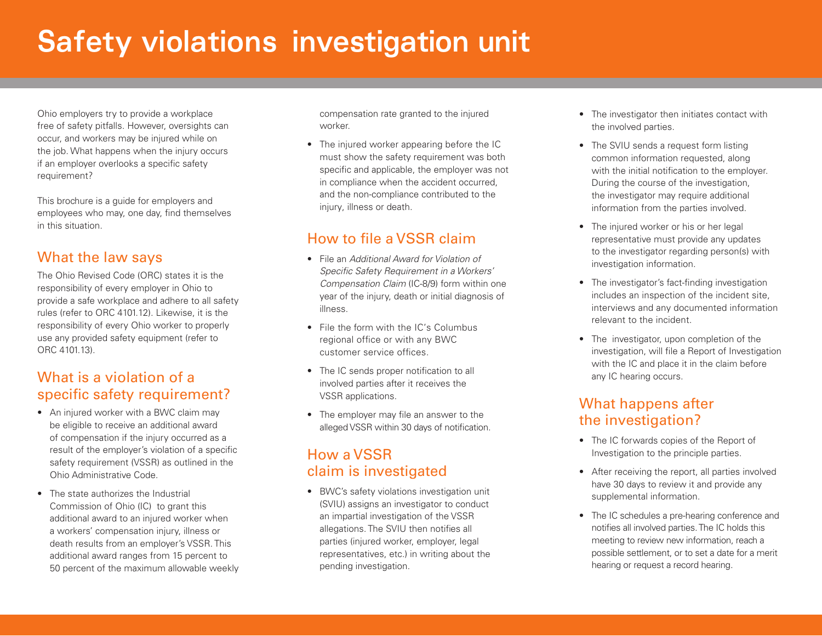# **Safety violations investigation unit**

Ohio employers try to provide a workplace free of safety pitfalls. However, oversights can occur, and workers may be injured while on the job. What happens when the injury occurs if an employer overlooks a specific safety requirement?

This brochure is a guide for employers and employees who may, one day, find themselves in this situation.

#### What the law says

The Ohio Revised Code (ORC) states it is the responsibility of every employer in Ohio to provide a safe workplace and adhere to all safety rules (refer to ORC 4101.12). Likewise, it is the responsibility of every Ohio worker to properly use any provided safety equipment (refer to ORC 4101.13).

#### What is a violation of a specific safety requirement?

- An injured worker with a BWC claim may be eligible to receive an additional award of compensation if the injury occurred as a result of the employer's violation of a specific safety requirement (VSSR) as outlined in the Ohio Administrative Code.
- The state authorizes the Industrial Commission of Ohio (IC) to grant this additional award to an injured worker when a workers' compensation injury, illness or death results from an employer's VSSR. This additional award ranges from 15 percent to 50 percent of the maximum allowable weekly

compensation rate granted to the injured worker.

• The injured worker appearing before the IC must show the safety requirement was both specific and applicable, the employer was not in compliance when the accident occurred, and the non-compliance contributed to the injury, illness or death.

### How to file a VSSR claim

- File an *Additional Award for Violation of Specific Safety Requirement in a Workers' Compensation Claim* (IC-8/9) form within one year of the injury, death or initial diagnosis of illness.
- File the form with the IC's Columbus regional office or with any BWC customer service offices.
- The IC sends proper notification to all involved parties after it receives the VSSR applications.
- The employer may file an answer to the alleged VSSR within 30 days of notification.

#### How a VSSR claim is investigated

• BWC's safety violations investigation unit (SVIU) assigns an investigator to conduct an impartial investigation of the VSSR allegations. The SVIU then notifies all parties (injured worker, employer, legal representatives, etc.) in writing about the pending investigation.

- The investigator then initiates contact with the involved parties.
- The SVIU sends a request form listing common information requested, along with the initial notification to the employer. During the course of the investigation, the investigator may require additional information from the parties involved.
- The injured worker or his or her legal representative must provide any updates to the investigator regarding person(s) with investigation information.
- The investigator's fact-finding investigation includes an inspection of the incident site, interviews and any documented information relevant to the incident.
- The investigator, upon completion of the investigation, will file a Report of Investigation with the IC and place it in the claim before any IC hearing occurs.

#### What happens after the investigation?

- The IC forwards copies of the Report of Investigation to the principle parties.
- After receiving the report, all parties involved have 30 days to review it and provide any supplemental information.
- The IC schedules a pre-hearing conference and notifies all involved parties. The IC holds this meeting to review new information, reach a possible settlement, or to set a date for a merit hearing or request a record hearing.